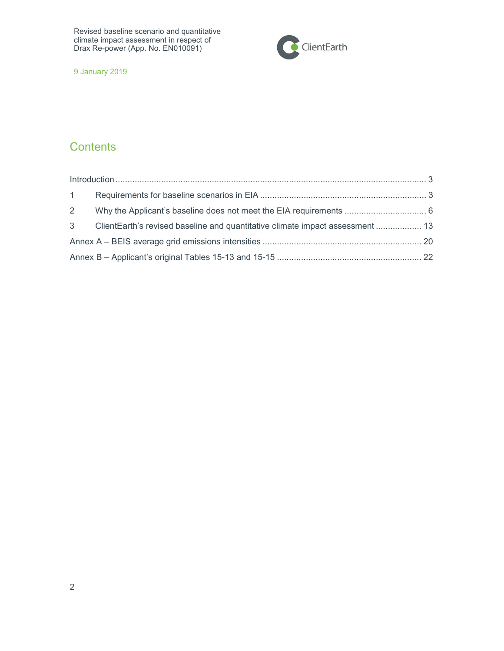

9 January 2019

## **Contents**

| $1 \quad$      |                                                                                 |  |
|----------------|---------------------------------------------------------------------------------|--|
| $\overline{2}$ |                                                                                 |  |
|                | 3 ClientEarth's revised baseline and quantitative climate impact assessment  13 |  |
|                |                                                                                 |  |
|                |                                                                                 |  |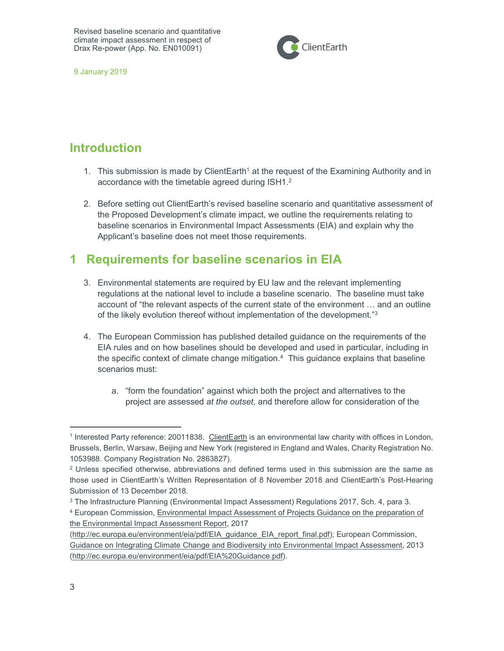

9 January 2019

## Introduction

- 1. This submission is made by ClientEarth<sup>1</sup> at the request of the Examining Authority and in accordance with the timetable agreed during ISH1.<sup>2</sup>
- 2. Before setting out ClientEarth's revised baseline scenario and quantitative assessment of the Proposed Development's climate impact, we outline the requirements relating to baseline scenarios in Environmental Impact Assessments (EIA) and explain why the Applicant's baseline does not meet those requirements.

## 1 Requirements for baseline scenarios in EIA

- 3. Environmental statements are required by EU law and the relevant implementing regulations at the national level to include a baseline scenario. The baseline must take account of "the relevant aspects of the current state of the environment … and an outline of the likely evolution thereof without implementation of the development."<sup>3</sup>
- 4. The European Commission has published detailed guidance on the requirements of the EIA rules and on how baselines should be developed and used in particular, including in the specific context of climate change mitigation.<sup>4</sup> This guidance explains that baseline scenarios must:
	- a. "form the foundation" against which both the project and alternatives to the project are assessed at the outset, and therefore allow for consideration of the

<sup>&</sup>lt;sup>1</sup> Interested Party reference: 20011838. ClientEarth is an environmental law charity with offices in London, Brussels, Berlin, Warsaw, Beijing and New York (registered in England and Wales, Charity Registration No. 1053988. Company Registration No. 2863827).

 $2$  Unless specified otherwise, abbreviations and defined terms used in this submission are the same as those used in ClientEarth's Written Representation of 8 November 2018 and ClientEarth's Post-Hearing Submission of 13 December 2018.

<sup>3</sup> The Infrastructure Planning (Environmental Impact Assessment) Regulations 2017, Sch. 4, para 3.

<sup>4</sup> European Commission, Environmental Impact Assessment of Projects Guidance on the preparation of the Environmental Impact Assessment Report, 2017

<sup>(</sup>http://ec.europa.eu/environment/eia/pdf/EIA\_guidance\_EIA\_report\_final.pdf); European Commission, Guidance on Integrating Climate Change and Biodiversity into Environmental Impact Assessment, 2013 (http://ec.europa.eu/environment/eia/pdf/EIA%20Guidance.pdf).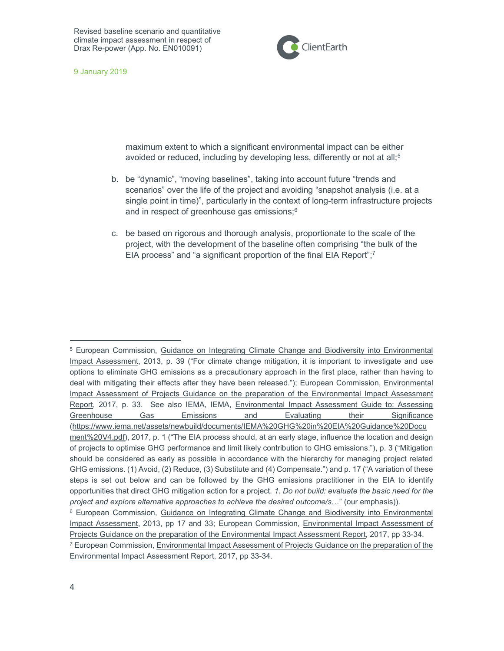

9 January 2019

maximum extent to which a significant environmental impact can be either avoided or reduced, including by developing less, differently or not at all;<sup>5</sup>

- b. be "dynamic", "moving baselines", taking into account future "trends and scenarios" over the life of the project and avoiding "snapshot analysis (i.e. at a single point in time)", particularly in the context of long-term infrastructure projects and in respect of greenhouse gas emissions;<sup>6</sup>
- c. be based on rigorous and thorough analysis, proportionate to the scale of the project, with the development of the baseline often comprising "the bulk of the EIA process" and "a significant proportion of the final EIA Report";<sup>7</sup>

<sup>&</sup>lt;sup>5</sup> European Commission, Guidance on Integrating Climate Change and Biodiversity into Environmental Impact Assessment, 2013, p. 39 ("For climate change mitigation, it is important to investigate and use options to eliminate GHG emissions as a precautionary approach in the first place, rather than having to deal with mitigating their effects after they have been released."); European Commission, *Environmental* Impact Assessment of Projects Guidance on the preparation of the Environmental Impact Assessment Report, 2017, p. 33. See also IEMA, IEMA, Environmental Impact Assessment Guide to: Assessing Greenhouse Gas Emissions and Evaluating their Significance (https://www.iema.net/assets/newbuild/documents/IEMA%20GHG%20in%20EIA%20Guidance%20Docu ment%20V4.pdf), 2017, p. 1 ("The EIA process should, at an early stage, influence the location and design of projects to optimise GHG performance and limit likely contribution to GHG emissions."), p. 3 ("Mitigation should be considered as early as possible in accordance with the hierarchy for managing project related GHG emissions. (1) Avoid, (2) Reduce, (3) Substitute and (4) Compensate.") and p. 17 ("A variation of these steps is set out below and can be followed by the GHG emissions practitioner in the EIA to identify opportunities that direct GHG mitigation action for a project. 1. Do not build: evaluate the basic need for the project and explore alternative approaches to achieve the desired outcome/s..." (our emphasis)). <sup>6</sup> European Commission, Guidance on Integrating Climate Change and Biodiversity into Environmental

Impact Assessment, 2013, pp 17 and 33; European Commission, Environmental Impact Assessment of Projects Guidance on the preparation of the Environmental Impact Assessment Report, 2017, pp 33-34. <sup>7</sup> European Commission, Environmental Impact Assessment of Projects Guidance on the preparation of the

Environmental Impact Assessment Report, 2017, pp 33-34.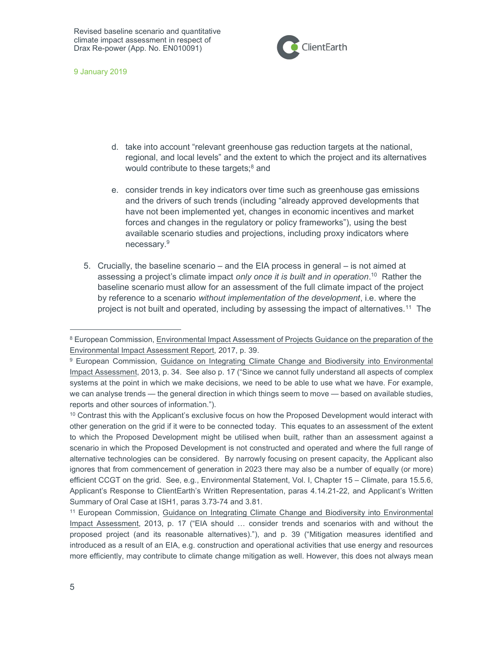

9 January 2019

- d. take into account "relevant greenhouse gas reduction targets at the national, regional, and local levels" and the extent to which the project and its alternatives would contribute to these targets;<sup>8</sup> and
- e. consider trends in key indicators over time such as greenhouse gas emissions and the drivers of such trends (including "already approved developments that have not been implemented yet, changes in economic incentives and market forces and changes in the regulatory or policy frameworks"), using the best available scenario studies and projections, including proxy indicators where necessary.<sup>9</sup>
- 5. Crucially, the baseline scenario and the EIA process in general is not aimed at assessing a project's climate impact *only once it is built and in operation*.<sup>10</sup> Rather the baseline scenario must allow for an assessment of the full climate impact of the project by reference to a scenario without implementation of the development, i.e. where the project is not built and operated, including by assessing the impact of alternatives.<sup>11</sup> The

<sup>&</sup>lt;sup>8</sup> European Commission, Environmental Impact Assessment of Projects Guidance on the preparation of the Environmental Impact Assessment Report, 2017, p. 39.

<sup>9</sup> European Commission, Guidance on Integrating Climate Change and Biodiversity into Environmental Impact Assessment, 2013, p. 34. See also p. 17 ("Since we cannot fully understand all aspects of complex systems at the point in which we make decisions, we need to be able to use what we have. For example, we can analyse trends — the general direction in which things seem to move — based on available studies, reports and other sources of information.").

<sup>&</sup>lt;sup>10</sup> Contrast this with the Applicant's exclusive focus on how the Proposed Development would interact with other generation on the grid if it were to be connected today. This equates to an assessment of the extent to which the Proposed Development might be utilised when built, rather than an assessment against a scenario in which the Proposed Development is not constructed and operated and where the full range of alternative technologies can be considered. By narrowly focusing on present capacity, the Applicant also ignores that from commencement of generation in 2023 there may also be a number of equally (or more) efficient CCGT on the grid. See, e.g., Environmental Statement, Vol. I, Chapter 15 – Climate, para 15.5.6, Applicant's Response to ClientEarth's Written Representation, paras 4.14.21-22, and Applicant's Written Summary of Oral Case at ISH1, paras 3.73-74 and 3.81.

<sup>&</sup>lt;sup>11</sup> European Commission, Guidance on Integrating Climate Change and Biodiversity into Environmental Impact Assessment, 2013, p. 17 ("EIA should … consider trends and scenarios with and without the proposed project (and its reasonable alternatives)."), and p. 39 ("Mitigation measures identified and introduced as a result of an EIA, e.g. construction and operational activities that use energy and resources more efficiently, may contribute to climate change mitigation as well. However, this does not always mean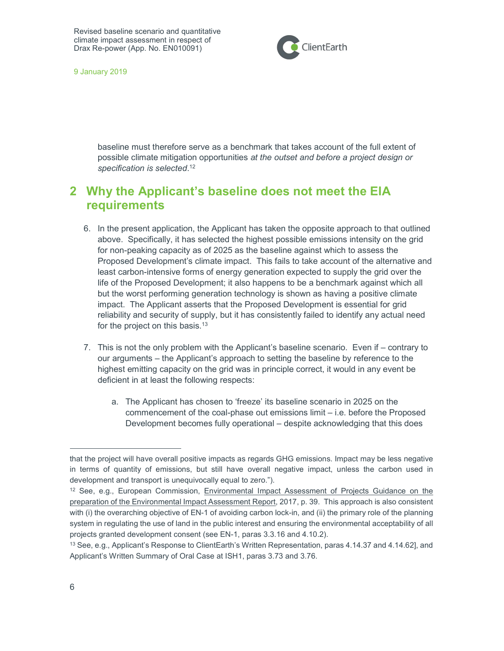

9 January 2019

baseline must therefore serve as a benchmark that takes account of the full extent of possible climate mitigation opportunities at the outset and before a project design or specification is selected.<sup>12</sup>

## 2 Why the Applicant's baseline does not meet the EIA requirements

- 6. In the present application, the Applicant has taken the opposite approach to that outlined above. Specifically, it has selected the highest possible emissions intensity on the grid for non-peaking capacity as of 2025 as the baseline against which to assess the Proposed Development's climate impact. This fails to take account of the alternative and least carbon-intensive forms of energy generation expected to supply the grid over the life of the Proposed Development; it also happens to be a benchmark against which all but the worst performing generation technology is shown as having a positive climate impact. The Applicant asserts that the Proposed Development is essential for grid reliability and security of supply, but it has consistently failed to identify any actual need for the project on this basis.<sup>13</sup>
- 7. This is not the only problem with the Applicant's baseline scenario. Even if contrary to our arguments – the Applicant's approach to setting the baseline by reference to the highest emitting capacity on the grid was in principle correct, it would in any event be deficient in at least the following respects:
	- a. The Applicant has chosen to 'freeze' its baseline scenario in 2025 on the commencement of the coal-phase out emissions limit – i.e. before the Proposed Development becomes fully operational – despite acknowledging that this does

that the project will have overall positive impacts as regards GHG emissions. Impact may be less negative in terms of quantity of emissions, but still have overall negative impact, unless the carbon used in development and transport is unequivocally equal to zero.").

<sup>12</sup> See, e.g., European Commission, Environmental Impact Assessment of Projects Guidance on the preparation of the Environmental Impact Assessment Report, 2017, p. 39. This approach is also consistent with (i) the overarching objective of EN-1 of avoiding carbon lock-in, and (ii) the primary role of the planning system in regulating the use of land in the public interest and ensuring the environmental acceptability of all projects granted development consent (see EN-1, paras 3.3.16 and 4.10.2).

<sup>13</sup> See, e.g., Applicant's Response to ClientEarth's Written Representation, paras 4.14.37 and 4.14.62], and Applicant's Written Summary of Oral Case at ISH1, paras 3.73 and 3.76.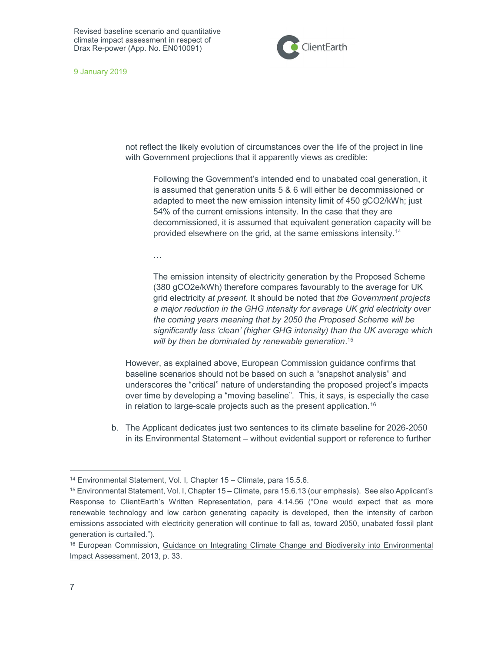

9 January 2019

not reflect the likely evolution of circumstances over the life of the project in line with Government projections that it apparently views as credible:

Following the Government's intended end to unabated coal generation, it is assumed that generation units 5 & 6 will either be decommissioned or adapted to meet the new emission intensity limit of 450 gCO2/kWh; just 54% of the current emissions intensity. In the case that they are decommissioned, it is assumed that equivalent generation capacity will be provided elsewhere on the grid, at the same emissions intensity.<sup>14</sup>

…

The emission intensity of electricity generation by the Proposed Scheme (380 gCO2e/kWh) therefore compares favourably to the average for UK grid electricity at present. It should be noted that the Government projects a major reduction in the GHG intensity for average UK grid electricity over the coming years meaning that by 2050 the Proposed Scheme will be significantly less 'clean' (higher GHG intensity) than the UK average which will by then be dominated by renewable generation. 15

However, as explained above, European Commission guidance confirms that baseline scenarios should not be based on such a "snapshot analysis" and underscores the "critical" nature of understanding the proposed project's impacts over time by developing a "moving baseline". This, it says, is especially the case in relation to large-scale projects such as the present application.<sup>16</sup>

b. The Applicant dedicates just two sentences to its climate baseline for 2026-2050 in its Environmental Statement – without evidential support or reference to further

<sup>14</sup> Environmental Statement, Vol. I, Chapter 15 – Climate, para 15.5.6.

<sup>15</sup> Environmental Statement, Vol. I, Chapter 15 – Climate, para 15.6.13 (our emphasis). See also Applicant's Response to ClientEarth's Written Representation, para 4.14.56 ("One would expect that as more renewable technology and low carbon generating capacity is developed, then the intensity of carbon emissions associated with electricity generation will continue to fall as, toward 2050, unabated fossil plant generation is curtailed.").

<sup>&</sup>lt;sup>16</sup> European Commission, Guidance on Integrating Climate Change and Biodiversity into Environmental Impact Assessment, 2013, p. 33.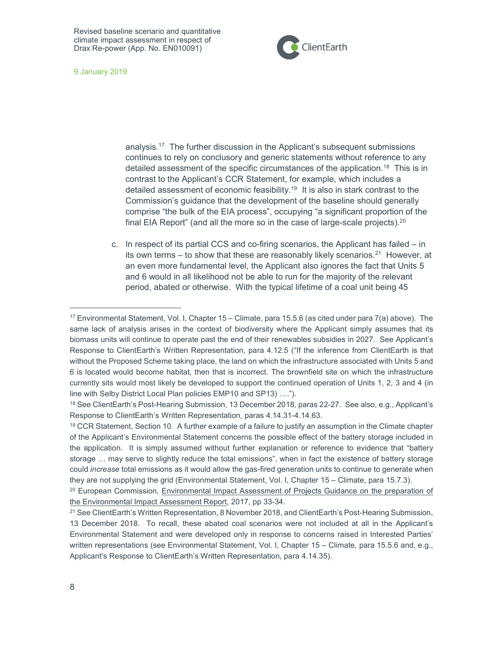

9 January 2019

analysis.<sup>17</sup> The further discussion in the Applicant's subsequent submissions continues to rely on conclusory and generic statements without reference to any detailed assessment of the specific circumstances of the application.<sup>18</sup> This is in contrast to the Applicant's CCR Statement, for example, which includes a detailed assessment of economic feasibility.<sup>19</sup> It is also in stark contrast to the Commission's guidance that the development of the baseline should generally comprise "the bulk of the EIA process", occupying "a significant proportion of the final EIA Report" (and all the more so in the case of large-scale projects).<sup>20</sup>

c. In respect of its partial CCS and co-firing scenarios, the Applicant has failed – in its own terms – to show that these are reasonably likely scenarios.<sup>21</sup> However, at an even more fundamental level, the Applicant also ignores the fact that Units 5 and 6 would in all likelihood not be able to run for the majority of the relevant period, abated or otherwise. With the typical lifetime of a coal unit being 45

 $17$  Environmental Statement, Vol. I, Chapter  $15 -$ Climate, para  $15.5.6$  (as cited under para  $7(a)$  above). The same lack of analysis arises in the context of biodiversity where the Applicant simply assumes that its biomass units will continue to operate past the end of their renewables subsidies in 2027. See Applicant's Response to ClientEarth's Written Representation, para 4.12.5 ("If the inference from ClientEarth is that without the Proposed Scheme taking place, the land on which the infrastructure associated with Units 5 and 6 is located would become habitat, then that is incorrect. The brownfield site on which the infrastructure currently sits would most likely be developed to support the continued operation of Units 1, 2, 3 and 4 (in line with Selby District Local Plan policies EMP10 and SP13) ….").

<sup>18</sup> See ClientEarth's Post-Hearing Submission, 13 December 2018, paras 22-27. See also, e.g., Applicant's Response to ClientEarth's Written Representation, paras 4.14.31-4.14.63.

<sup>&</sup>lt;sup>19</sup> CCR Statement, Section 10. A further example of a failure to justify an assumption in the Climate chapter of the Applicant's Environmental Statement concerns the possible effect of the battery storage included in the application. It is simply assumed without further explanation or reference to evidence that "battery storage … may serve to slightly reduce the total emissions", when in fact the existence of battery storage could increase total emissions as it would allow the gas-fired generation units to continue to generate when they are not supplying the grid (Environmental Statement, Vol. I, Chapter 15 – Climate, para 15.7.3).

<sup>&</sup>lt;sup>20</sup> European Commission, Environmental Impact Assessment of Projects Guidance on the preparation of the Environmental Impact Assessment Report, 2017, pp 33-34.

<sup>21</sup> See ClientEarth's Written Representation, 8 November 2018, and ClientEarth's Post-Hearing Submission, 13 December 2018. To recall, these abated coal scenarios were not included at all in the Applicant's Environmental Statement and were developed only in response to concerns raised in Interested Parties' written representations (see Environmental Statement, Vol. I, Chapter 15 – Climate, para 15.5.6 and, e.g., Applicant's Response to ClientEarth's Written Representation, para 4.14.35).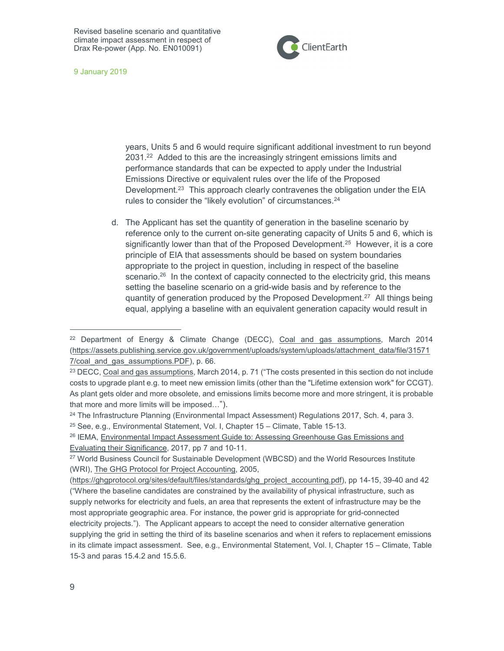

9 January 2019

years, Units 5 and 6 would require significant additional investment to run beyond 2031.<sup>22</sup> Added to this are the increasingly stringent emissions limits and performance standards that can be expected to apply under the Industrial Emissions Directive or equivalent rules over the life of the Proposed Development.<sup>23</sup> This approach clearly contravenes the obligation under the EIA rules to consider the "likely evolution" of circumstances.<sup>24</sup>

d. The Applicant has set the quantity of generation in the baseline scenario by reference only to the current on-site generating capacity of Units 5 and 6, which is significantly lower than that of the Proposed Development.<sup>25</sup> However, it is a core principle of EIA that assessments should be based on system boundaries appropriate to the project in question, including in respect of the baseline scenario.<sup>26</sup> In the context of capacity connected to the electricity grid, this means setting the baseline scenario on a grid-wide basis and by reference to the quantity of generation produced by the Proposed Development.<sup>27</sup> All things being equal, applying a baseline with an equivalent generation capacity would result in

 $22$  Department of Energy & Climate Change (DECC), Coal and gas assumptions, March 2014 (https://assets.publishing.service.gov.uk/government/uploads/system/uploads/attachment\_data/file/31571 7/coal and gas assumptions.PDF), p. 66.

<sup>&</sup>lt;sup>23</sup> DECC, Coal and gas assumptions, March 2014, p. 71 ("The costs presented in this section do not include costs to upgrade plant e.g. to meet new emission limits (other than the "Lifetime extension work" for CCGT). As plant gets older and more obsolete, and emissions limits become more and more stringent, it is probable that more and more limits will be imposed…").

<sup>&</sup>lt;sup>24</sup> The Infrastructure Planning (Environmental Impact Assessment) Regulations 2017, Sch. 4, para 3.

 $25$  See, e.g., Environmental Statement, Vol. I, Chapter 15 – Climate, Table 15-13.

<sup>26</sup> IEMA, Environmental Impact Assessment Guide to: Assessing Greenhouse Gas Emissions and Evaluating their Significance, 2017, pp 7 and 10-11.

<sup>27</sup> World Business Council for Sustainable Development (WBCSD) and the World Resources Institute (WRI), The GHG Protocol for Project Accounting, 2005,

<sup>(</sup>https://ghgprotocol.org/sites/default/files/standards/ghg\_project\_accounting.pdf), pp 14-15, 39-40 and 42 ("Where the baseline candidates are constrained by the availability of physical infrastructure, such as supply networks for electricity and fuels, an area that represents the extent of infrastructure may be the most appropriate geographic area. For instance, the power grid is appropriate for grid-connected electricity projects."). The Applicant appears to accept the need to consider alternative generation supplying the grid in setting the third of its baseline scenarios and when it refers to replacement emissions in its climate impact assessment. See, e.g., Environmental Statement, Vol. I, Chapter 15 – Climate, Table 15-3 and paras 15.4.2 and 15.5.6.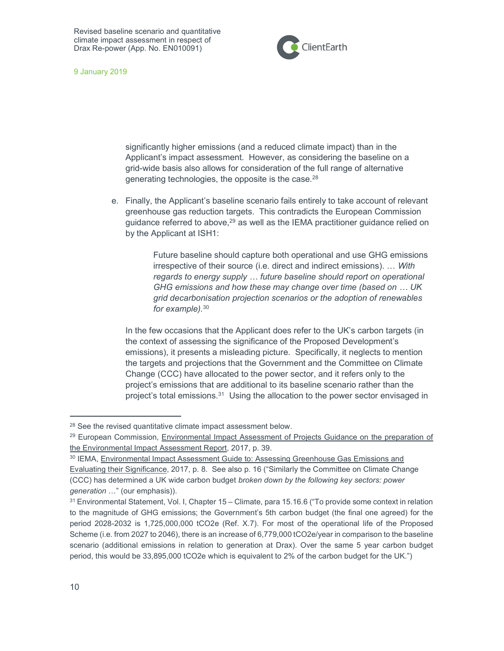

9 January 2019

significantly higher emissions (and a reduced climate impact) than in the Applicant's impact assessment. However, as considering the baseline on a grid-wide basis also allows for consideration of the full range of alternative generating technologies, the opposite is the case.<sup>28</sup>

e. Finally, the Applicant's baseline scenario fails entirely to take account of relevant greenhouse gas reduction targets. This contradicts the European Commission guidance referred to above,<sup>29</sup> as well as the IEMA practitioner guidance relied on by the Applicant at ISH1:

> Future baseline should capture both operational and use GHG emissions irrespective of their source (i.e. direct and indirect emissions). … With regards to energy supply … future baseline should report on operational GHG emissions and how these may change over time (based on … UK grid decarbonisation projection scenarios or the adoption of renewables for example).<sup>30</sup>

In the few occasions that the Applicant does refer to the UK's carbon targets (in the context of assessing the significance of the Proposed Development's emissions), it presents a misleading picture. Specifically, it neglects to mention the targets and projections that the Government and the Committee on Climate Change (CCC) have allocated to the power sector, and it refers only to the project's emissions that are additional to its baseline scenario rather than the project's total emissions.<sup>31</sup> Using the allocation to the power sector envisaged in

<sup>28</sup> See the revised quantitative climate impact assessment below.

<sup>&</sup>lt;sup>29</sup> European Commission, Environmental Impact Assessment of Projects Guidance on the preparation of the Environmental Impact Assessment Report, 2017, p. 39.

<sup>30</sup> IEMA, Environmental Impact Assessment Guide to: Assessing Greenhouse Gas Emissions and Evaluating their Significance, 2017, p. 8. See also p. 16 ("Similarly the Committee on Climate Change (CCC) has determined a UK wide carbon budget broken down by the following key sectors: power generation …" (our emphasis)).

<sup>31</sup> Environmental Statement, Vol. I, Chapter 15 – Climate, para 15.16.6 ("To provide some context in relation to the magnitude of GHG emissions; the Government's 5th carbon budget (the final one agreed) for the period 2028-2032 is 1,725,000,000 tCO2e (Ref. X.7). For most of the operational life of the Proposed Scheme (i.e. from 2027 to 2046), there is an increase of 6,779,000 tCO2e/year in comparison to the baseline scenario (additional emissions in relation to generation at Drax). Over the same 5 year carbon budget period, this would be 33,895,000 tCO2e which is equivalent to 2% of the carbon budget for the UK.")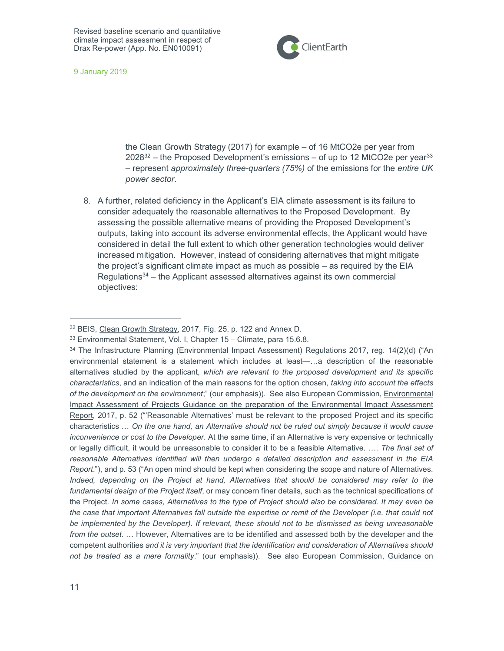

9 January 2019

the Clean Growth Strategy (2017) for example – of 16 MtCO2e per year from  $2028^{32}$  – the Proposed Development's emissions – of up to 12 MtCO2e per year<sup>33</sup> – represent approximately three-quarters (75%) of the emissions for the entire UK power sector.

8. A further, related deficiency in the Applicant's EIA climate assessment is its failure to consider adequately the reasonable alternatives to the Proposed Development. By assessing the possible alternative means of providing the Proposed Development's outputs, taking into account its adverse environmental effects, the Applicant would have considered in detail the full extent to which other generation technologies would deliver increased mitigation. However, instead of considering alternatives that might mitigate the project's significant climate impact as much as possible – as required by the EIA Regulations $34$  – the Applicant assessed alternatives against its own commercial objectives:

<sup>32</sup> BEIS, Clean Growth Strategy, 2017, Fig. 25, p. 122 and Annex D.

<sup>33</sup> Environmental Statement, Vol. I, Chapter 15 – Climate, para 15.6.8.

<sup>34</sup> The Infrastructure Planning (Environmental Impact Assessment) Regulations 2017, reg. 14(2)(d) ("An environmental statement is a statement which includes at least—…a description of the reasonable alternatives studied by the applicant, which are relevant to the proposed development and its specific characteristics, and an indication of the main reasons for the option chosen, taking into account the effects of the development on the environment;" (our emphasis)). See also European Commission, Environmental Impact Assessment of Projects Guidance on the preparation of the Environmental Impact Assessment Report, 2017, p. 52 ("'Reasonable Alternatives' must be relevant to the proposed Project and its specific characteristics … On the one hand, an Alternative should not be ruled out simply because it would cause inconvenience or cost to the Developer. At the same time, if an Alternative is very expensive or technically or legally difficult, it would be unreasonable to consider it to be a feasible Alternative. …. The final set of reasonable Alternatives identified will then undergo a detailed description and assessment in the EIA Report."), and p. 53 ("An open mind should be kept when considering the scope and nature of Alternatives. Indeed, depending on the Project at hand, Alternatives that should be considered may refer to the fundamental design of the Project itself, or may concern finer details, such as the technical specifications of the Project. In some cases, Alternatives to the type of Project should also be considered. It may even be the case that important Alternatives fall outside the expertise or remit of the Developer (i.e. that could not be implemented by the Developer). If relevant, these should not to be dismissed as being unreasonable from the outset. … However, Alternatives are to be identified and assessed both by the developer and the competent authorities and it is very important that the identification and consideration of Alternatives should not be treated as a mere formality." (our emphasis)). See also European Commission, Guidance on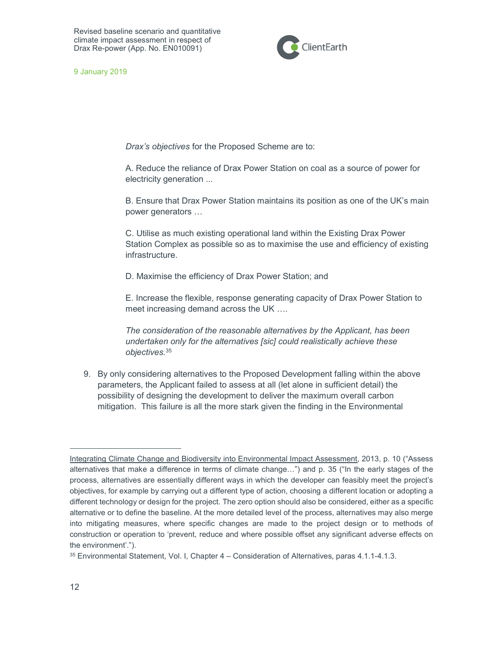

9 January 2019

Drax's objectives for the Proposed Scheme are to:

A. Reduce the reliance of Drax Power Station on coal as a source of power for electricity generation ...

B. Ensure that Drax Power Station maintains its position as one of the UK's main power generators …

C. Utilise as much existing operational land within the Existing Drax Power Station Complex as possible so as to maximise the use and efficiency of existing infrastructure.

D. Maximise the efficiency of Drax Power Station; and

E. Increase the flexible, response generating capacity of Drax Power Station to meet increasing demand across the UK ….

The consideration of the reasonable alternatives by the Applicant, has been undertaken only for the alternatives [sic] could realistically achieve these objectives.<sup>35</sup>

9. By only considering alternatives to the Proposed Development falling within the above parameters, the Applicant failed to assess at all (let alone in sufficient detail) the possibility of designing the development to deliver the maximum overall carbon mitigation. This failure is all the more stark given the finding in the Environmental

Integrating Climate Change and Biodiversity into Environmental Impact Assessment, 2013, p. 10 ("Assess alternatives that make a difference in terms of climate change…") and p. 35 ("In the early stages of the process, alternatives are essentially different ways in which the developer can feasibly meet the project's objectives, for example by carrying out a different type of action, choosing a different location or adopting a different technology or design for the project. The zero option should also be considered, either as a specific alternative or to define the baseline. At the more detailed level of the process, alternatives may also merge into mitigating measures, where specific changes are made to the project design or to methods of construction or operation to 'prevent, reduce and where possible offset any significant adverse effects on the environment'.").

<sup>35</sup> Environmental Statement, Vol. I, Chapter 4 – Consideration of Alternatives, paras 4.1.1-4.1.3.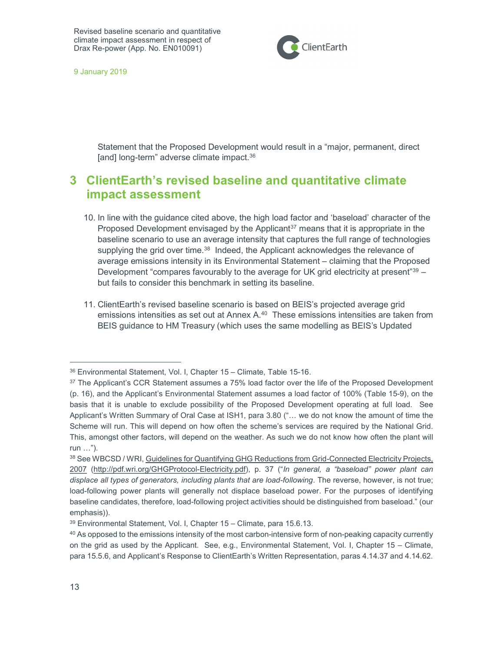

9 January 2019

Statement that the Proposed Development would result in a "major, permanent, direct [and] long-term" adverse climate impact.<sup>36</sup>

## 3 ClientEarth's revised baseline and quantitative climate impact assessment

- 10. In line with the guidance cited above, the high load factor and 'baseload' character of the Proposed Development envisaged by the Applicant<sup>37</sup> means that it is appropriate in the baseline scenario to use an average intensity that captures the full range of technologies supplying the grid over time.<sup>38</sup> Indeed, the Applicant acknowledges the relevance of average emissions intensity in its Environmental Statement – claiming that the Proposed Development "compares favourably to the average for UK grid electricity at present"<sup>39</sup> but fails to consider this benchmark in setting its baseline.
- 11. ClientEarth's revised baseline scenario is based on BEIS's projected average grid emissions intensities as set out at Annex  $A<sup>40</sup>$  These emissions intensities are taken from BEIS guidance to HM Treasury (which uses the same modelling as BEIS's Updated

<sup>36</sup> Environmental Statement, Vol. I, Chapter 15 – Climate, Table 15-16.

<sup>&</sup>lt;sup>37</sup> The Applicant's CCR Statement assumes a 75% load factor over the life of the Proposed Development (p. 16), and the Applicant's Environmental Statement assumes a load factor of 100% (Table 15-9), on the basis that it is unable to exclude possibility of the Proposed Development operating at full load. See Applicant's Written Summary of Oral Case at ISH1, para 3.80 ("… we do not know the amount of time the Scheme will run. This will depend on how often the scheme's services are required by the National Grid. This, amongst other factors, will depend on the weather. As such we do not know how often the plant will run …").

<sup>38</sup> See WBCSD / WRI, Guidelines for Quantifying GHG Reductions from Grid-Connected Electricity Projects, 2007 (http://pdf.wri.org/GHGProtocol-Electricity.pdf), p. 37 ("In general, a "baseload" power plant can displace all types of generators, including plants that are load-following. The reverse, however, is not true; load-following power plants will generally not displace baseload power. For the purposes of identifying baseline candidates, therefore, load-following project activities should be distinguished from baseload." (our emphasis)).

<sup>39</sup> Environmental Statement, Vol. I, Chapter 15 – Climate, para 15.6.13.

<sup>40</sup> As opposed to the emissions intensity of the most carbon-intensive form of non-peaking capacity currently on the grid as used by the Applicant. See, e.g., Environmental Statement, Vol. I, Chapter 15 – Climate, para 15.5.6, and Applicant's Response to ClientEarth's Written Representation, paras 4.14.37 and 4.14.62.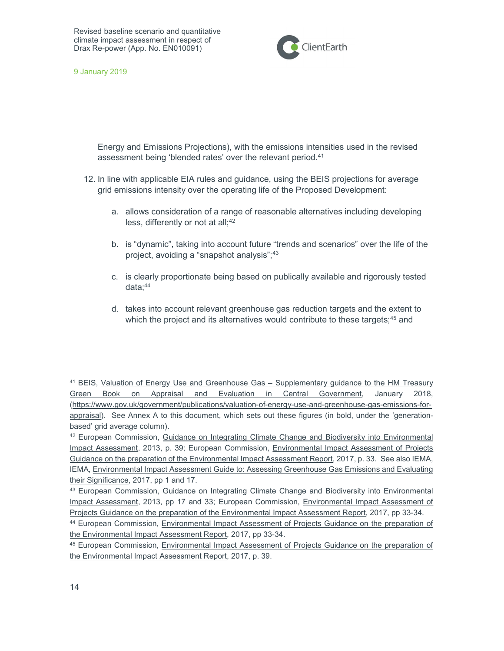

9 January 2019

Energy and Emissions Projections), with the emissions intensities used in the revised assessment being 'blended rates' over the relevant period.<sup>41</sup>

- 12. In line with applicable EIA rules and guidance, using the BEIS projections for average grid emissions intensity over the operating life of the Proposed Development:
	- a. allows consideration of a range of reasonable alternatives including developing less, differently or not at all;<sup>42</sup>
	- b. is "dynamic", taking into account future "trends and scenarios" over the life of the project, avoiding a "snapshot analysis";<sup>43</sup>
	- c. is clearly proportionate being based on publically available and rigorously tested data;<sup>44</sup>
	- d. takes into account relevant greenhouse gas reduction targets and the extent to which the project and its alternatives would contribute to these targets;<sup>45</sup> and

<sup>41</sup> BEIS, Valuation of Energy Use and Greenhouse Gas - Supplementary guidance to the HM Treasury Green Book on Appraisal and Evaluation in Central Government, January 2018, (https://www.gov.uk/government/publications/valuation-of-energy-use-and-greenhouse-gas-emissions-forappraisal). See Annex A to this document, which sets out these figures (in bold, under the 'generationbased' grid average column).

<sup>42</sup> European Commission, Guidance on Integrating Climate Change and Biodiversity into Environmental Impact Assessment, 2013, p. 39; European Commission, Environmental Impact Assessment of Projects Guidance on the preparation of the Environmental Impact Assessment Report, 2017, p. 33. See also IEMA, IEMA, Environmental Impact Assessment Guide to: Assessing Greenhouse Gas Emissions and Evaluating their Significance, 2017, pp 1 and 17.

<sup>43</sup> European Commission, Guidance on Integrating Climate Change and Biodiversity into Environmental Impact Assessment, 2013, pp 17 and 33; European Commission, Environmental Impact Assessment of Projects Guidance on the preparation of the Environmental Impact Assessment Report, 2017, pp 33-34.

<sup>44</sup> European Commission, Environmental Impact Assessment of Projects Guidance on the preparation of the Environmental Impact Assessment Report, 2017, pp 33-34.

<sup>45</sup> European Commission, Environmental Impact Assessment of Projects Guidance on the preparation of the Environmental Impact Assessment Report, 2017, p. 39.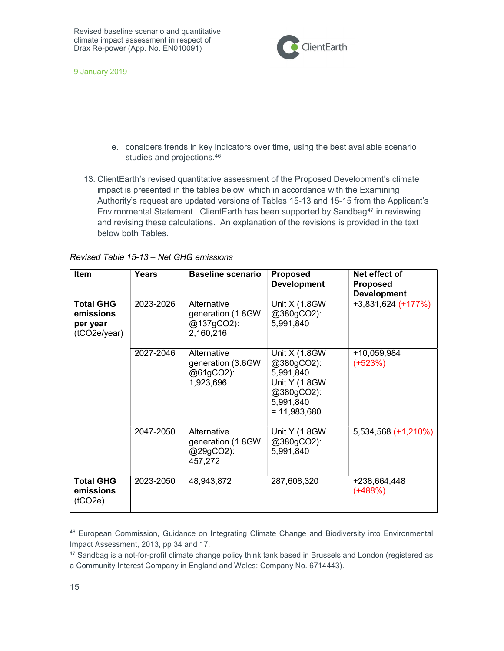

9 January 2019

- e. considers trends in key indicators over time, using the best available scenario studies and projections.<sup>46</sup>
- 13. ClientEarth's revised quantitative assessment of the Proposed Development's climate impact is presented in the tables below, which in accordance with the Examining Authority's request are updated versions of Tables 15-13 and 15-15 from the Applicant's Environmental Statement. ClientEarth has been supported by Sandbag<sup>47</sup> in reviewing and revising these calculations. An explanation of the revisions is provided in the text below both Tables.

| <b>Item</b>                                               | Years     | <b>Baseline scenario</b>                                    | <b>Proposed</b><br><b>Development</b>                                                                          | Net effect of<br><b>Proposed</b><br><b>Development</b> |
|-----------------------------------------------------------|-----------|-------------------------------------------------------------|----------------------------------------------------------------------------------------------------------------|--------------------------------------------------------|
| <b>Total GHG</b><br>emissions<br>per year<br>(tCO2e/year) | 2023-2026 | Alternative<br>generation (1.8GW<br>@137gCO2):<br>2,160,216 | Unit $X(1.8GW)$<br>@380gCO2):<br>5,991,840                                                                     | $+3,831,624$ (+177%)                                   |
|                                                           | 2027-2046 | Alternative<br>generation (3.6GW<br>@61gCO2):<br>1,923,696  | <b>Unit X (1.8GW)</b><br>@380gCO2):<br>5,991,840<br>Unit Y (1.8GW<br>@380gCO2):<br>5,991,840<br>$= 11,983,680$ | +10,059,984<br>$(+523%)$                               |
|                                                           | 2047-2050 | Alternative<br>generation (1.8GW<br>@29gCO2):<br>457,272    | Unit Y (1.8GW<br>@380gCO2):<br>5,991,840                                                                       | 5,534,568 (+1,210%)                                    |
| <b>Total GHG</b><br>emissions<br>(1CO2e)                  | 2023-2050 | 48,943,872                                                  | 287,608,320                                                                                                    | +238,664,448<br>$(+488%)$                              |

### Revised Table 15-13 – Net GHG emissions

<sup>46</sup> European Commission, Guidance on Integrating Climate Change and Biodiversity into Environmental Impact Assessment, 2013, pp 34 and 17.

<sup>&</sup>lt;sup>47</sup> Sandbag is a not-for-profit climate change policy think tank based in Brussels and London (registered as a Community Interest Company in England and Wales: Company No. 6714443).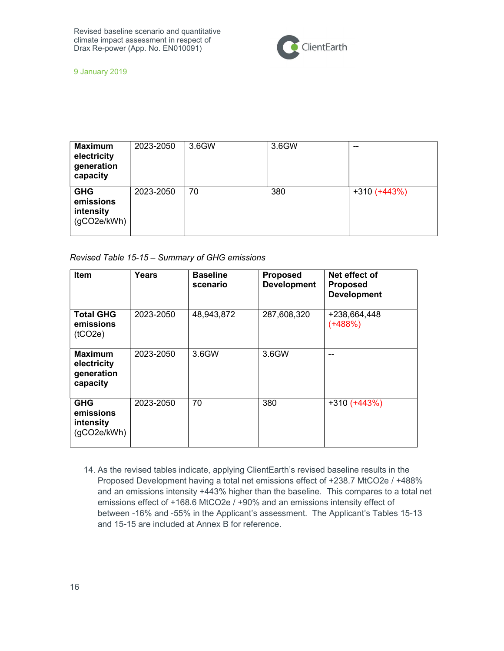

9 January 2019

| <b>Maximum</b><br>electricity<br>generation<br>capacity | 2023-2050 | 3.6GW | 3.6GW | $- -$          |
|---------------------------------------------------------|-----------|-------|-------|----------------|
| <b>GHG</b><br>emissions<br>intensity<br>(gCO2e/kWh)     | 2023-2050 | 70    | 380   | $+310 (+443%)$ |

### Revised Table 15-15 – Summary of GHG emissions

| <b>Item</b>                                             | Years     | <b>Baseline</b><br>scenario | <b>Proposed</b><br><b>Development</b> | Net effect of<br><b>Proposed</b><br><b>Development</b> |
|---------------------------------------------------------|-----------|-----------------------------|---------------------------------------|--------------------------------------------------------|
| <b>Total GHG</b><br>emissions<br>(1CO2e)                | 2023-2050 | 48,943,872                  | 287,608,320                           | +238,664,448<br>$(+488%)$                              |
| <b>Maximum</b><br>electricity<br>generation<br>capacity | 2023-2050 | 3.6GW                       | 3.6GW                                 |                                                        |
| <b>GHG</b><br>emissions<br>intensity<br>(qCO2e/kWh)     | 2023-2050 | 70                          | 380                                   | $+310 (+443%)$                                         |

14. As the revised tables indicate, applying ClientEarth's revised baseline results in the Proposed Development having a total net emissions effect of +238.7 MtCO2e / +488% and an emissions intensity +443% higher than the baseline. This compares to a total net emissions effect of +168.6 MtCO2e / +90% and an emissions intensity effect of between -16% and -55% in the Applicant's assessment. The Applicant's Tables 15-13 and 15-15 are included at Annex B for reference.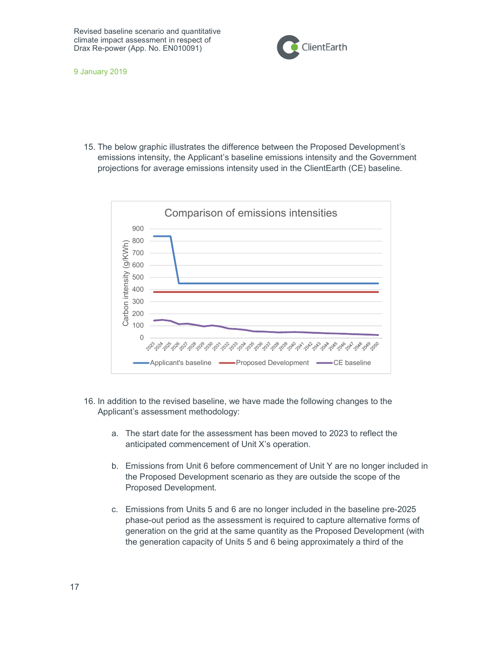

9 January 2019

15. The below graphic illustrates the difference between the Proposed Development's emissions intensity, the Applicant's baseline emissions intensity and the Government projections for average emissions intensity used in the ClientEarth (CE) baseline.



- 16. In addition to the revised baseline, we have made the following changes to the Applicant's assessment methodology:
	- a. The start date for the assessment has been moved to 2023 to reflect the anticipated commencement of Unit X's operation.
	- b. Emissions from Unit 6 before commencement of Unit Y are no longer included in the Proposed Development scenario as they are outside the scope of the Proposed Development.
	- c. Emissions from Units 5 and 6 are no longer included in the baseline pre-2025 phase-out period as the assessment is required to capture alternative forms of generation on the grid at the same quantity as the Proposed Development (with the generation capacity of Units 5 and 6 being approximately a third of the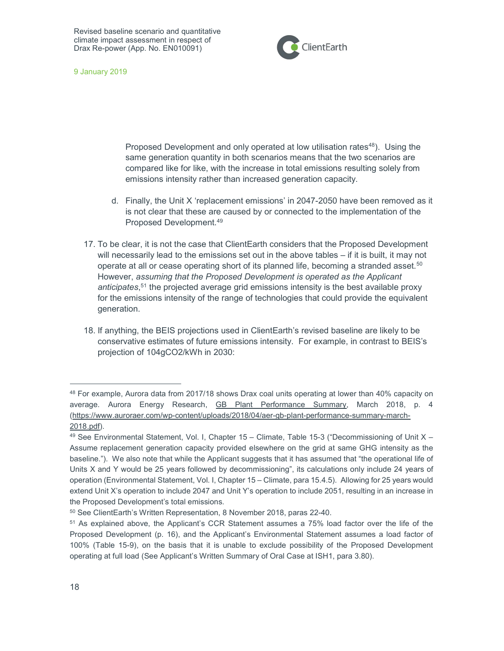

9 January 2019

Proposed Development and only operated at low utilisation rates<sup>48</sup>). Using the same generation quantity in both scenarios means that the two scenarios are compared like for like, with the increase in total emissions resulting solely from emissions intensity rather than increased generation capacity.

- d. Finally, the Unit X 'replacement emissions' in 2047-2050 have been removed as it is not clear that these are caused by or connected to the implementation of the Proposed Development.<sup>49</sup>
- 17. To be clear, it is not the case that ClientEarth considers that the Proposed Development will necessarily lead to the emissions set out in the above tables – if it is built, it may not operate at all or cease operating short of its planned life, becoming a stranded asset.<sup>50</sup> However, assuming that the Proposed Development is operated as the Applicant anticipates,<sup>51</sup> the projected average grid emissions intensity is the best available proxy for the emissions intensity of the range of technologies that could provide the equivalent generation.
- 18. If anything, the BEIS projections used in ClientEarth's revised baseline are likely to be conservative estimates of future emissions intensity. For example, in contrast to BEIS's projection of 104gCO2/kWh in 2030:

<sup>48</sup> For example, Aurora data from 2017/18 shows Drax coal units operating at lower than 40% capacity on average. Aurora Energy Research, GB Plant Performance Summary, March 2018, p. 4 (https://www.auroraer.com/wp-content/uploads/2018/04/aer-gb-plant-performance-summary-march-2018.pdf).

 $49$  See Environmental Statement, Vol. I, Chapter 15 – Climate, Table 15-3 ("Decommissioning of Unit X – Assume replacement generation capacity provided elsewhere on the grid at same GHG intensity as the baseline."). We also note that while the Applicant suggests that it has assumed that "the operational life of Units X and Y would be 25 years followed by decommissioning", its calculations only include 24 years of operation (Environmental Statement, Vol. I, Chapter 15 – Climate, para 15.4.5). Allowing for 25 years would extend Unit X's operation to include 2047 and Unit Y's operation to include 2051, resulting in an increase in the Proposed Development's total emissions.

<sup>50</sup> See ClientEarth's Written Representation, 8 November 2018, paras 22-40.

<sup>51</sup> As explained above, the Applicant's CCR Statement assumes a 75% load factor over the life of the Proposed Development (p. 16), and the Applicant's Environmental Statement assumes a load factor of 100% (Table 15-9), on the basis that it is unable to exclude possibility of the Proposed Development operating at full load (See Applicant's Written Summary of Oral Case at ISH1, para 3.80).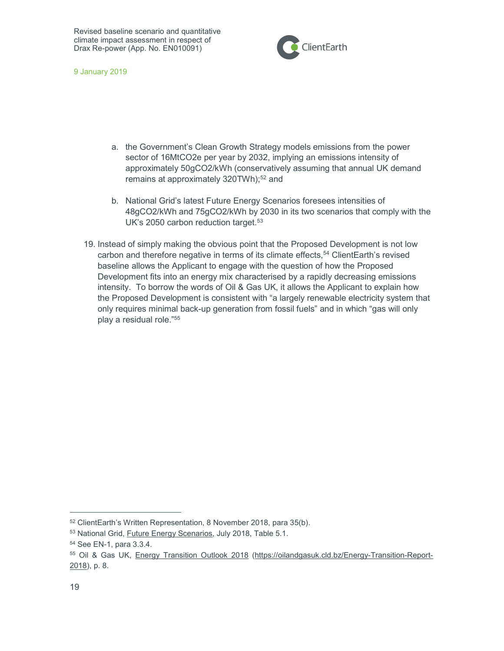

9 January 2019

- a. the Government's Clean Growth Strategy models emissions from the power sector of 16MtCO2e per year by 2032, implying an emissions intensity of approximately 50gCO2/kWh (conservatively assuming that annual UK demand remains at approximately 320TWh);<sup>52</sup> and
- b. National Grid's latest Future Energy Scenarios foresees intensities of 48gCO2/kWh and 75gCO2/kWh by 2030 in its two scenarios that comply with the UK's 2050 carbon reduction target.<sup>53</sup>
- 19. Instead of simply making the obvious point that the Proposed Development is not low carbon and therefore negative in terms of its climate effects,<sup>54</sup> ClientEarth's revised baseline allows the Applicant to engage with the question of how the Proposed Development fits into an energy mix characterised by a rapidly decreasing emissions intensity. To borrow the words of Oil & Gas UK, it allows the Applicant to explain how the Proposed Development is consistent with "a largely renewable electricity system that only requires minimal back-up generation from fossil fuels" and in which "gas will only play a residual role."<sup>55</sup>

<sup>52</sup> ClientEarth's Written Representation, 8 November 2018, para 35(b).

<sup>53</sup> National Grid, Future Energy Scenarios, July 2018, Table 5.1.

<sup>54</sup> See EN-1, para 3.3.4.

<sup>55</sup> Oil & Gas UK, Energy Transition Outlook 2018 (https://oilandgasuk.cld.bz/Energy-Transition-Report-2018), p. 8.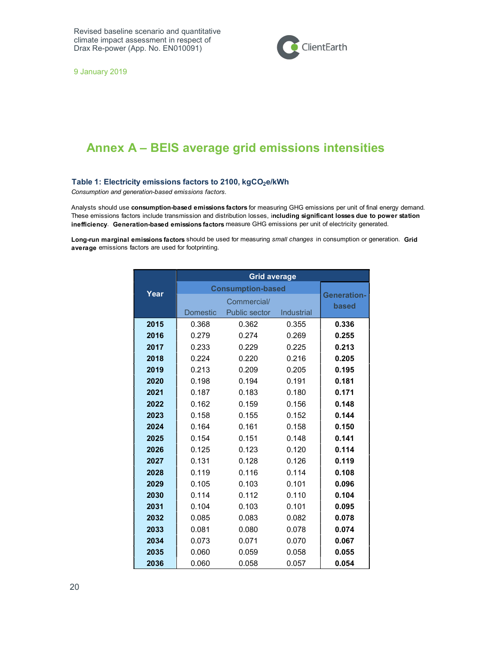

9 January 2019

## Annex A – BEIS average grid emissions intensities

Consumption and generation-based emissions factors.

Table 1: Electricity emissions factors to 2100, kgCO<sub>2</sub>e/kWh<br>
Consumption and generation-based emissions factors.<br>
Analysts should use consumption-based emissions factors for measuring GHG emissions per unit of final ener Analysts should use consumption-based emissions factors for measuring GHG emissions per unit of final energy demand. These emissions factors include transmission and distribution losses, including significant losses due to power station inefficiency. Generation-based emissions factors measure GHG emissions per unit of electricity generated.

Long-run marginal emissions factors should be used for measuring small changes in consumption or generation. Grid average emissions factors are used for footprinting.

|      | <b>Grid average</b>      |                                    |            |       |  |
|------|--------------------------|------------------------------------|------------|-------|--|
| Year | <b>Consumption-based</b> |                                    |            |       |  |
|      |                          | <b>Generation-</b><br><b>based</b> |            |       |  |
|      | <b>Domestic</b>          | Public sector                      | Industrial |       |  |
| 2015 | 0.368                    | 0.362                              | 0.355      | 0.336 |  |
| 2016 | 0.279                    | 0.274                              | 0.269      | 0.255 |  |
| 2017 | 0.233                    | 0.229                              | 0.225      | 0.213 |  |
| 2018 | 0.224                    | 0.220                              | 0.216      | 0.205 |  |
| 2019 | 0.213                    | 0.209                              | 0.205      | 0.195 |  |
| 2020 | 0.198                    | 0.194                              | 0.191      | 0.181 |  |
| 2021 | 0.187                    | 0.183                              | 0.180      | 0.171 |  |
| 2022 | 0.162                    | 0.159                              | 0.156      | 0.148 |  |
| 2023 | 0.158                    | 0.155                              | 0.152      | 0.144 |  |
| 2024 | 0.164                    | 0.161                              | 0.158      | 0.150 |  |
| 2025 | 0.154                    | 0.151                              | 0.148      | 0.141 |  |
| 2026 | 0.125                    | 0.123                              | 0.120      | 0.114 |  |
| 2027 | 0.131                    | 0.128                              | 0.126      | 0.119 |  |
| 2028 | 0.119<br>0.114<br>0.116  |                                    |            | 0.108 |  |
| 2029 | 0.105<br>0.103<br>0.101  |                                    |            | 0.096 |  |
| 2030 | 0.114                    | 0.112                              | 0.110      | 0.104 |  |
| 2031 | 0.104                    | 0.103                              | 0.101      | 0.095 |  |
| 2032 | 0.085                    | 0.083                              | 0.082      | 0.078 |  |
| 2033 | 0.081                    | 0.080                              | 0.078      | 0.074 |  |
| 2034 | 0.073                    | 0.071                              | 0.070      | 0.067 |  |
| 2035 | 0.060                    | 0.059                              | 0.058      | 0.055 |  |
| 2036 | 0.060                    | 0.058                              | 0.057      | 0.054 |  |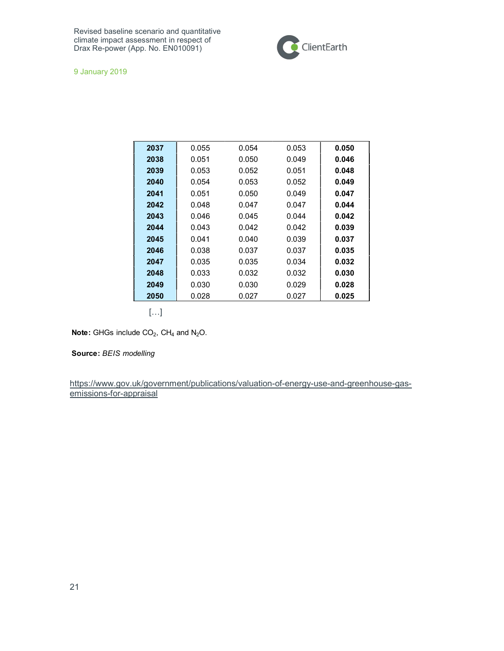

9 January 2019

| 2037 | 0.055 | 0.054 | 0.053 | 0.050 |
|------|-------|-------|-------|-------|
| 2038 | 0.051 | 0.050 | 0.049 | 0.046 |
| 2039 | 0.053 | 0.052 | 0.051 | 0.048 |
| 2040 | 0.054 | 0.053 | 0.052 | 0.049 |
| 2041 | 0.051 | 0.050 | 0.049 | 0.047 |
| 2042 | 0.048 | 0.047 | 0.047 | 0.044 |
| 2043 | 0.046 | 0.045 | 0.044 | 0.042 |
| 2044 | 0.043 | 0.042 | 0.042 | 0.039 |
| 2045 | 0.041 | 0.040 | 0.039 | 0.037 |
| 2046 | 0.038 | 0.037 | 0.037 | 0.035 |
| 2047 | 0.035 | 0.035 | 0.034 | 0.032 |
| 2048 | 0.033 | 0.032 | 0.032 | 0.030 |
| 2049 | 0.030 | 0.030 | 0.029 | 0.028 |
| 2050 | 0.028 | 0.027 | 0.027 | 0.025 |

[…]

,  $CH_4$  and  $N_2O$ .

Source: BEIS modelling

https://www.gov.uk/government/publications/valuation-of-energy-use-and-greenhouse-gasemissions-for-appraisal **Note:** GHGs include CO<sub>2</sub>, CH<sub>4</sub> and N<sub>2</sub>O.<br> **Source:** *BEIS modelling*<br>
https://www.gov.uk/government/publications/valuation-of-energemissions-for-appraisal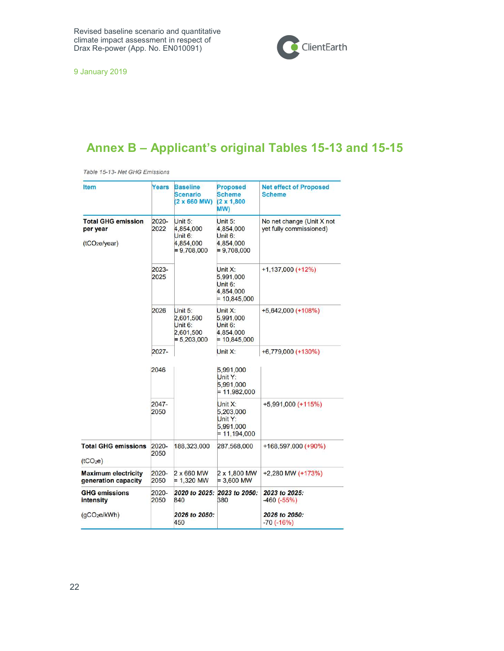

9 January 2019

## Annex B – Applicant's original Tables 15-13 and 15-15

Table 15-13- Net GHG Emissions

| <b>Item</b>                                                        | Years            | <b>Baseline</b><br><b>Scenario</b><br>$(2 \times 660$ MW)                  | <b>Proposed</b><br><b>Scheme</b><br>$(2 \times 1,800)$<br>(MW              | <b>Net effect of Proposed</b><br><b>Scheme</b>       |
|--------------------------------------------------------------------|------------------|----------------------------------------------------------------------------|----------------------------------------------------------------------------|------------------------------------------------------|
| <b>Total GHG emission</b><br>per year<br>(tCO <sub>2e</sub> /year) | 2020-<br>2022    | Unit $5:$<br>4,854,000<br>Unit <sub>6:</sub><br>4,854,000<br>$= 9,708,000$ | Unit $5:$<br>4,854,000<br>Unit <sub>6:</sub><br>4,854,000<br>$= 9,708,000$ | No net change (Unit X not<br>yet fully commissioned) |
|                                                                    | 2023-<br>2025    |                                                                            | Unit $X$ :<br>5,991,000<br>Unit $6:$<br>4,854,000<br>$= 10,845,000$        | $+1,137,000 (+12%)$                                  |
|                                                                    | 2026             | Unit 5:<br>2,601,500<br>Unit 6:<br>2,601,500<br>$= 5,203,000$              | Unit X:<br>5,991,000<br>Unit $6:$<br>4,854,000<br>$= 10,845,000$           | $+5,642,000 (+108%)$                                 |
|                                                                    | $2027 -$         |                                                                            | Unit X:                                                                    | $+6,779,000 (+130%)$                                 |
|                                                                    | 2046             |                                                                            | 5,991,000<br>Unit Y:<br>5,991,000<br>$= 11,982,000$                        |                                                      |
|                                                                    | 2047-<br>2050    |                                                                            | Unit $X$ :<br>5,203,000<br>Unit Y:<br>5,991,000<br>$= 11,194,000$          | $+5,991,000 (+115%)$                                 |
| <b>Total GHG emissions</b><br>(tCO <sub>2</sub> e)                 | 2020-<br>2050    | 188,323,000                                                                | 287,568,000                                                                | $+168,597,000 (+90%)$                                |
| <b>Maximum electricity</b><br>generation capacity                  | 2020-<br>2050    | 2 x 660 MW<br>$= 1,320$ MW                                                 | 2 x 1,800 MW<br>$= 3,600$ MW                                               | +2,280 MW (+173%)                                    |
| <b>GHG emissions</b><br>intensity                                  | $2020 -$<br>2050 | 2020 to 2025:<br>840                                                       | 2023 to 2050:<br>380                                                       | 2023 to 2025:<br>$-460(-55%)$                        |
| (qCO <sub>2</sub> e/kWh)                                           |                  | 2026 to 2050:<br>450                                                       |                                                                            | 2026 to 2050:<br>$-70(-16%)$                         |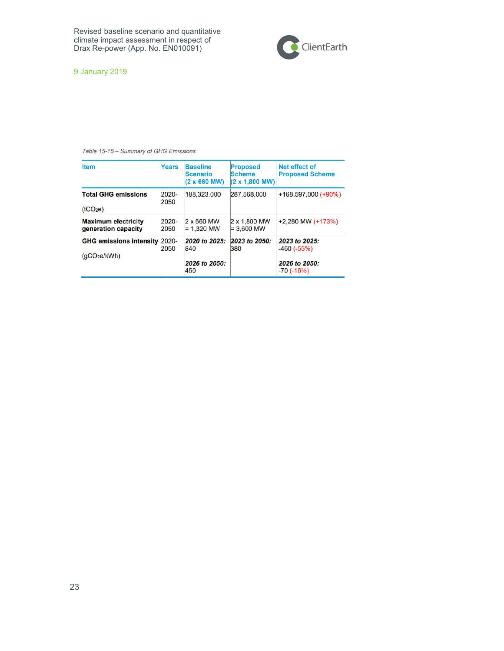

9 January 2019

#### Table 15-15 - Summary of GHG Emissions

| <b>Item</b>                                                | Years            | <b>Baseline</b><br><b>Scenario</b><br>$(2 \times 660$ MW) | <b>Proposed</b><br><b>Scheme</b><br>$(2 \times 1,800$ MW) | Net effect of<br><b>Proposed Scheme</b>                       |
|------------------------------------------------------------|------------------|-----------------------------------------------------------|-----------------------------------------------------------|---------------------------------------------------------------|
| <b>Total GHG emissions</b><br>(tCO <sub>2</sub> e)         | $2020 -$<br>2050 | 188,323,000                                               | 287,568,000                                               | $+168,597,000 (+90%)$                                         |
| <b>Maximum electricity</b><br>generation capacity          | $2020 -$<br>2050 | 2 x 660 MW<br>$= 1.320$ MW                                | 2 x 1,800 MW<br>$= 3,600$ MW                              | $+2,280$ MW (+173%)                                           |
| <b>GHG emissions intensity</b><br>(qCO <sub>2</sub> e/kWh) | $2020 -$<br>2050 | 2020 to 2025:<br>840<br>2026 to 2050:<br>450              | 2023 to 2050:<br>380                                      | 2023 to 2025:<br>$-460(-55%)$<br>2026 to 2050:<br>$-70(-16%)$ |